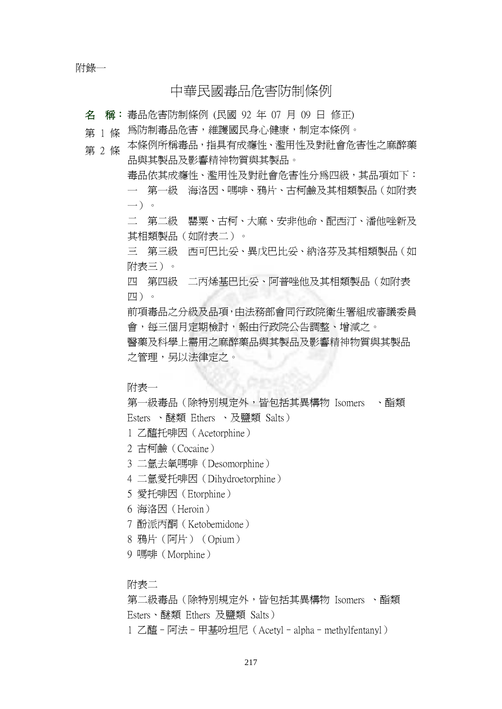附錄一

# 中華民國毒品危害防制條例

名 稱: 毒品危害防制條例 (民國 92 年 07 月 09 日 修正)

第 1 條 爲防制毒品危害,維護國民身心健康,制定本條例。

本條例所稱毒品,指具有成癮性、濫用性及對社會危害性之麻醉藥 品與其製品及影響精神物質與其製品。 第 2 條

> 毒品依其成癮性、濫用性及對社會危害性分為四級,其品項如下: 一 第一級 海洛因、嗎啡、鴉片、古柯鹼及其相類製品(如附表 一)。

> 二 第二級 罌粟、古柯、大麻、安非他命、配西汀、潘他唑新及 其相類製品(如附表二)。

> 三 第三級 西可巴比妥、異戊巴比妥、納洛芬及其相類製品(如 附表三)。

四 第四級 二丙烯基巴比妥、阿普唑他及其相類製品(如附表 四)。

前項毒品之分級及品項,由法務部會同行政院衛生署組成審議委員 會,每三個月定期檢討,報由行政院公告調整、增減之。

醫藥及科學上需用之麻醉藥品與其製品及影響精神物質與其製品 之管理,另以法律定之。

附表一

第一級毒品(除特別規定外,皆句括其異構物 Isomers 、酯類 Esters 、醚類 Ethers 、及鹽類 Salts)

1 乙醯托啡因(Acetorphine)

2 古柯鹼(Cocaine)

3 二氫去氧嗎啡(Desomorphine)

4 二氫愛托啡因(Dihydroetorphine)

5 愛托啡因(Etorphine)

6 海洛因(Heroin)

7 酚派丙酮(Ketobemidone)

8 鴉片(阿片)(Opium)

9 嗎啡(Morphine)

附表二

第二級毒品(除特別規定外,皆包括其異構物 Isomers 、酯類 Esters、醚類 Ethers 及鹽類 Salts) 1 乙醯–阿法–甲基吩坦尼(Acetyl–alpha–methylfentanyl)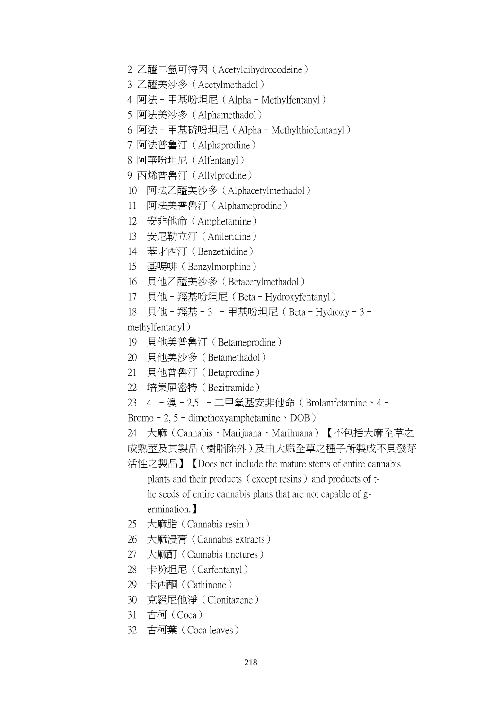- 2 乙醯二氫可待因(Acetyldihydrocodeine)
- 3 乙醯美沙多(Acetylmethadol)
- 4 阿法–甲基吩坦尼(Alpha–Methylfentanyl)
- 5 阿法美沙多(Alphamethadol)
- 6 阿法–甲基硫吩坦尼(Alpha–Methylthiofentanyl)
- 7 阿法普魯汀(Alphaprodine)
- 8 阿華吩坦尼(Alfentanyl)
- 9 丙烯普魯汀(Allylprodine)
- 10 阿法乙醯美沙多(Alphacetylmethadol)
- 11 阿法美普魯汀(Alphameprodine)
- 12 安非他命(Amphetamine)
- 13 安尼勒立汀(Anileridine)
- 14 苯才西汀(Benzethidine)
- 15 基嗎啡(Benzylmorphine)
- 16 貝他乙醯美沙多(Betacetylmethadol)
- 17 貝他–羥基吩坦尼(Beta–Hydroxyfentanyl)
- 18 貝他–羥基–3 –甲基吩坦尼(Beta–Hydroxy–3–

methylfentanyl)

- 19 貝他美普魯汀(Betameprodine)
- 20 貝他美沙多(Betamethadol)
- 21 貝他普魯汀(Betaprodine)
- 22 培集屈密特(Bezitramide)
- 23 4 –溴–2,5 –二甲氧基安非他命(Brolamfetamine、4–
- Bromo–2,  $5$ –dimethoxyamphetamine  $\cdot$  DOB)
- 24 大麻(Cannabis、Marijuana、Marihuana)【不包括大麻全草之
- 成熟莖及其製品(樹脂除外)及由大麻全草之種子所製成不具發芽

活性之製品】【Does not include the mature stems of entire cannabis plants and their products (except resins) and products of t he seeds of entire cannabis plans that are not capable of g ermination.】

- 25 大麻脂(Cannabis resin)
- 26 大麻浸膏(Cannabis extracts)
- 27 大麻酊(Cannabis tinctures)
- 28 卡吩坦尼(Carfentanyl)
- 29 卡西酮(Cathinone)
- 30 克羅尼他淨(Clonitazene)
- 31 古柯(Coca)
- 32 古柯葉(Coca leaves)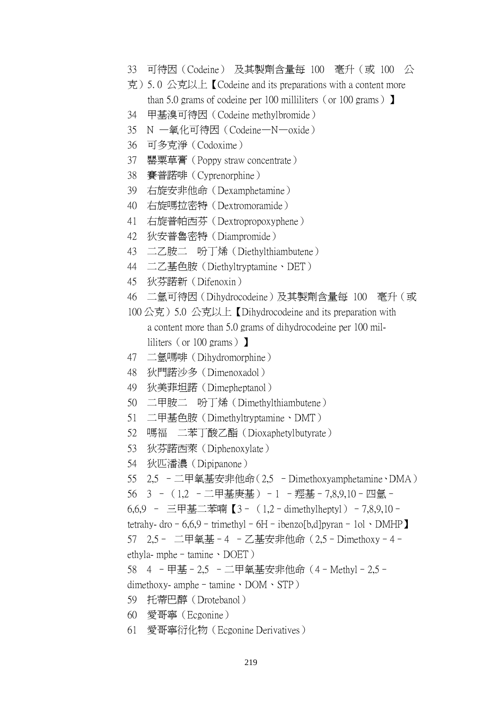- 33 可待因(Codeine) 及其製劑含量每 100 毫升(或 100 公
- 克)5. 0 公克以上【Codeine and its preparations with a content more than 5.0 grams of codeine per 100 milliliters (or 100 grams)  $\blacksquare$
- 34 甲基溴可待因(Codeine methylbromide)
- 35 N —氧化可待因(Codeine—N—oxide)
- 36 可多克淨(Codoxime)
- 37 罌粟草膏(Poppy straw concentrate)
- 38 賽普諾啡(Cyprenorphine)
- 39 右旋安非他命(Dexamphetamine)
- 40 右旋嗎拉密特(Dextromoramide)
- 41 右旋普帕西芬(Dextropropoxyphene)
- 42 狄安普魯密特(Diampromide)
- 43 二乙胺二 吩丁烯(Diethylthiambutene)
- 44 二乙基色胺(Diethyltryptamine、DET)
- 45 狄芬諾新(Difenoxin)
- 46 二氫可待因(Dihydrocodeine)及其製劑含量每 100 毫升(或
- 100 公克) 5.0 公克以上【Dihydrocodeine and its preparation with a content more than 5.0 grams of dihydrocodeine per 100 mil liliters (or 100 grams)】
- 47 二氫嗎啡(Dihydromorphine)
- 48 狄門諾沙多(Dimenoxadol)
- 49 狄美菲坦諾(Dimepheptanol)
- 50 二甲胺二 吩丁烯(Dimethylthiambutene)
- 51 二甲基色胺(Dimethyltryptamine、DMT)
- 52 嗎福 二苯丁酸乙酯(Dioxaphetylbutyrate)
- 53 狄芬諾西萊(Diphenoxylate)
- 54 狄匹潘濃(Dipipanone)
- 55 2,5 –二甲氧基安非他命(2,5 –Dimethoxyamphetamine、DMA)
- 56 3 –(1,2 –二甲基庚基)–1 –羥基–7,8,9,10–四氫–
- 6,6,9 三甲基二苯喃【3–(1,2–dimethylheptyl)–7,8,9,10–
- tetrahy- dro 6,6,9 trimethyl 6H ibenzo[b,d]pyran 1ol · DMHP

57 2,5– 二甲氧基–4 –乙基安非他命(2,5–Dimethoxy–4–

ethyla- mphe – tamine  $\cdot$  DOET)

58 4 –甲基–2,5 –二甲氧基安非他命(4–Methyl–2,5–

- dimethoxy- amphe–tamine、DOM、STP)
- 59 托蒂巴醇(Drotebanol)
- 60 愛哥寧(Ecgonine)
- 61 愛哥寧衍化物(Ecgonine Derivatives)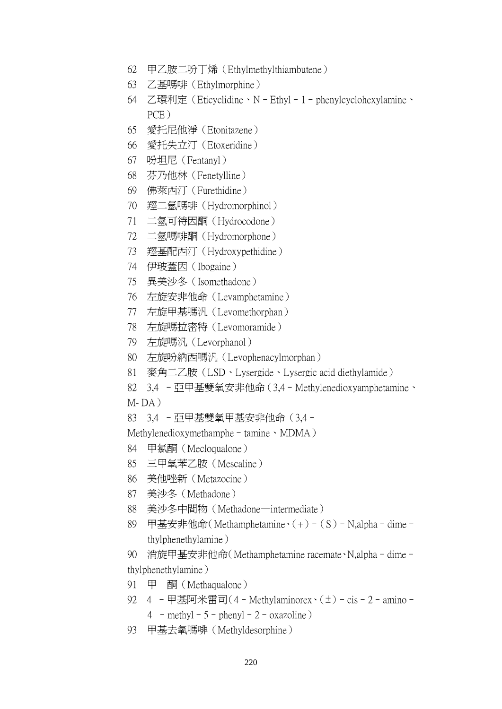- 62 甲乙胺二吩丁烯(Ethylmethylthiambutene)
- 63 乙基嗎啡(Ethylmorphine)
- 64 乙環利定(Eticyclidine、N–Ethyl–1–phenylcyclohexylamine、 PCE)
- 65 愛托尼他淨(Etonitazene)
- 66 愛托失立汀(Etoxeridine)
- 67 吩坦尼(Fentanyl)
- 68 芬乃他林(Fenetylline)
- 69 佛萊西汀(Furethidine)
- 70 羥二氫嗎啡(Hydromorphinol)
- 71 二氫可待因酮(Hydrocodone)
- 72 二氫嗎啡酮(Hydromorphone)
- 73 羥基配西汀(Hydroxypethidine)
- 74 伊玻蓋因(Ibogaine)
- 75 異美沙冬(Isomethadone)
- 76 左旋安非他命(Levamphetamine)
- 77 左旋甲基嗎汎(Levomethorphan)
- 78 左旋嗎拉密特(Levomoramide)
- 79 左旋嗎汎(Levorphanol)
- 80 左旋吩納西嗎汎(Levophenacylmorphan)
- 81 麥角二乙胺(LSD、Lysergide、Lysergic acid diethylamide)
- 82 3,4 –亞甲基雙氧安非他命(3,4–Methylenedioxyamphetamine、
- $M-DA$ )
- 83 3,4 –亞甲基雙氧甲基安非他命(3,4–

Methylenedioxymethamphe – tamine、MDMA)

- 84 甲氯酮(Mecloqualone)
- 85 三甲氧苯乙胺(Mescaline)
- 86 美他唑新(Metazocine)
- 87 美沙冬(Methadone)
- 88 美沙冬中間物(Methadone—intermediate)
- 89 甲基安非他命(Methamphetamine、(+)–(S)–N,alpha–dime– thylphenethylamine)

90 消旋甲基安非他命(Methamphetamine racemate、N,alpha–dime– thylphenethylamine)

- 91 甲 酮(Methaqualone)
- 92 4 –甲基阿米雷司(4–Methylaminorex、(±)–cis–2–amino–  $4$  – methyl –  $5$  – phenyl –  $2$  – oxazoline)
- 93 甲基去氧嗎啡(Methyldesorphine)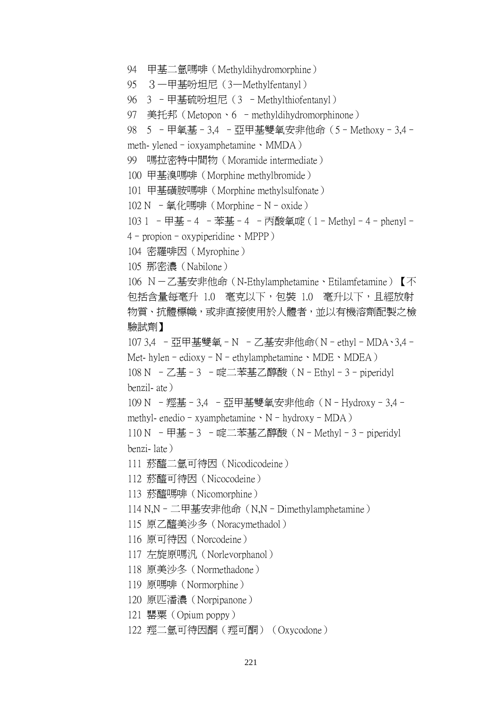```
94 甲基二氫嗎啡(Methyldihydromorphine)
```

```
95 3—甲基吩坦尼(3—Methylfentanyl)
```
96 3 –甲基硫吩坦尼(3 –Methylthiofentanyl)

```
97 美托邦(Metopon、6 –methyldihydromorphinone)
```

```
98 5 - 甲氧基 - 3,4 - 亞甲基雙氧安非他命 (5 - Methoxy - 3,4 -
```
meth- ylened–ioxyamphetamine、MMDA)

99 嗎拉密特中間物(Moramide intermediate)

100 甲基溴嗎啡(Morphine methylbromide)

101 甲基磺胺嗎啡(Morphine methylsulfonate)

```
102 N – 氧化嗎啡 (Morphine – N – oxide)
```

```
103 1 –甲基–4 –苯基–4 –丙酸氧啶(1–Methyl–4–phenyl–
4–propion–oxypiperidine、MPPP)
```
- 
- 104 密羅啡因(Myrophine)

105 那密濃(Nabilone)

106 N-乙基安非他命(N-Ethylamphetamine、Etilamfetamine)【不 包括含量每毫升 1.0 毫克以下,包裝 1.0 毫升以下,且經放射 物質、抗體標幟,或非直接使用於人體者,並以有機溶劑配製之檢 驗試劑】

107 3,4 – 亞甲基雙氧 – N – 乙基安非他命(N – ethyl – MDA、3,4 – Met- hylen – edioxy – N – ethylamphetamine 、MDE、MDEA)

108 N –乙基–3 –啶二苯基乙醇酸(N–Ethyl–3–piperidyl benzil- ate)

109 N – 羥基 – 3,4 – 亞甲基雙氧安非他命 (N – Hydroxy – 3,4 – methyl- enedio – xyamphetamine  $\cdot$  N – hydroxy – MDA)

110 N – 甲基–3 –啶二苯基乙醇酸(N-Methyl-3-piperidyl benzi- late)

- 111 菸醯二氫可待因(Nicodicodeine)
- 112 菸醯可待因(Nicocodeine)
- 113 菸醯嗎啡(Nicomorphine)
- 114 N,N–二甲基安非他命(N,N–Dimethylamphetamine)
- 115 原乙醯美沙多(Noracymethadol)
- 116 原可待因(Norcodeine)
- 117 左旋原嗎汎(Norlevorphanol)
- 118 原美沙冬(Normethadone)
- 119 原嗎啡(Normorphine)
- 120 原匹潘濃(Norpipanone)
- 121 罌粟(Opium poppy)
- 122 羥二氫可待因酮(羥可酮)(Oxycodone)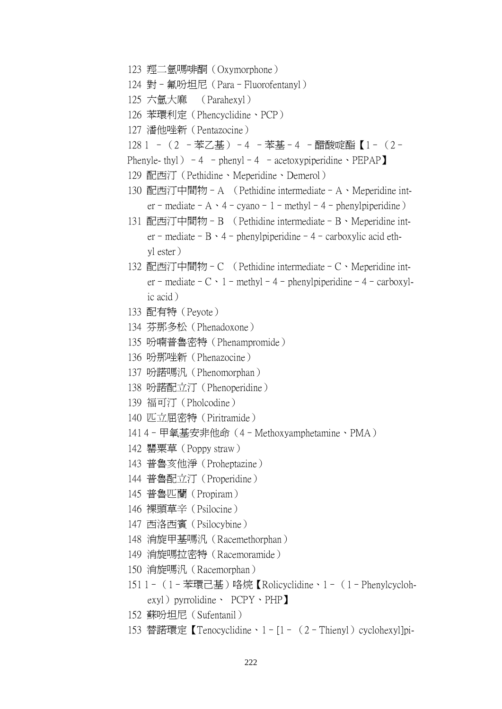- 123 羥二氫嗎啡酮(Oxymorphone)
- 124 對–氟吩坦尼(Para–Fluorofentanyl)
- 125 六氫大麻 (Parahexyl)
- 126 苯環利定(Phencyclidine、PCP)
- 127 潘他唑新(Pentazocine)
- 128 1 –(2 –苯乙基)–4 –苯基–4 –醋酸啶酯【1–(2–
- Phenyle- thyl) 4 phenyl 4 acetoxypiperidine  $\text{PEPAP}$
- 129 配西汀(Pethidine、Meperidine、Demerol)
- 130 配西汀中間物–A (Pethidine intermediate–A、Meperidine int er – mediate – A · 4 – cyano – 1 – methyl – 4 – phenylpiperidine)
- 131 配西汀中間物–B (Pethidine intermediate–B、Meperidine int er – mediate – B · 4 – phenylpiperidine – 4 – carboxylic acid ethyl ester)
- 132 配西汀中間物–C (Pethidine intermediate–C、Meperidine int er – mediate – C · 1 – methyl – 4 – phenylpiperidine – 4 – carboxylic acid)
- 133 配有特(Peyote)
- 134 芬那多松(Phenadoxone)
- 135 吩喃普魯密特(Phenampromide)
- 136 吩那唑新(Phenazocine)
- 137 吩諾嗎汎(Phenomorphan)
- 138 吩諾配立汀(Phenoperidine)
- 139 福可汀(Pholcodine)
- 140 匹立屈密特(Piritramide)
- 141 4–甲氧基安非他命(4–Methoxyamphetamine、PMA)
- 142 罌粟草(Poppy straw)
- 143 普魯亥他淨(Proheptazine)
- 144 普魯配立汀(Properidine)
- 145 普魯匹蘭(Propiram)
- 146 裸頭草辛(Psilocine)
- 147 西洛西賓(Psilocybine)
- 148 消旋甲基嗎汎(Racemethorphan)
- 149 消旋嗎拉密特(Racemoramide)
- 150 消旋嗎汎(Racemorphan)
- 151 1–(1–苯環己基)咯烷【Rolicyclidine、1–(1–Phenylcycloh exyl) pyrrolidine、 PCPY、PHP】
- 152 蘇吩坦尼(Sufentanil)
- 153 替諾環定【Tenocyclidine、1-[1- (2-Thienyl) cyclohexyl]pi-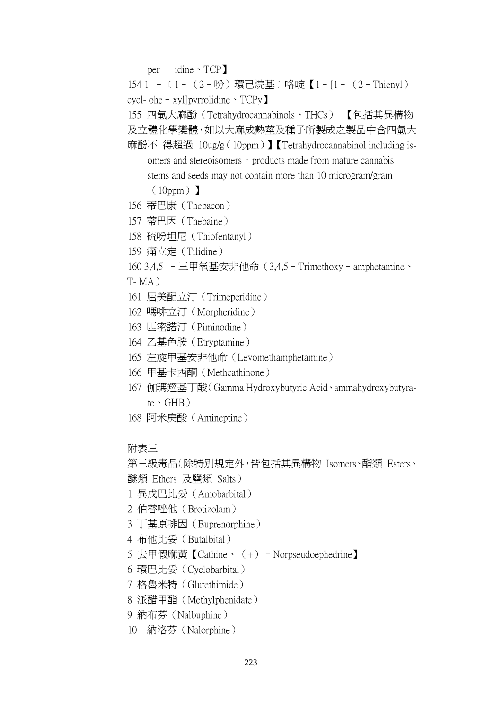per– idine、TCP】

154 1 - 〔1- (2-吩)環己烷基〕咯啶【1-[1- (2-Thienyl) cycl- ohe–xyl]pyrrolidine、TCPy】

155 四氫大麻酚(Tetrahydrocannabinols、THCs) 【包括其異構物

及立體化學變體,如以大麻成熟莖及種子所製成之製品中含四氫大

麻酚不 得超過 10ug/g(10ppm)】【Tetrahydrocannabinol including is omers and stereoisomers, products made from mature cannabis stems and seeds may not contain more than 10 microgram/gram

 $(10ppm)$ 

- 156 蒂巴康(Thebacon)
- 157 蒂巴因(Thebaine)
- 158 硫吩坦尼(Thiofentanyl)
- 159 痛立定(Tilidine)

160 3,4,5 –三甲氧基安非他命(3,4,5–Trimethoxy–amphetamine、

- $T- MA$ )
- 161 屈美配立汀(Trimeperidine)
- 162 嗎啡立汀(Morpheridine)
- 163 匹密諾汀(Piminodine)
- 164 乙基色胺(Etryptamine)
- 165 左旋甲基安非他命(Levomethamphetamine)
- 166 甲基卡西酮(Methcathinone)
- 167 伽瑪羥基丁酸(Gamma Hydroxybutyric Acid、ammahydroxybutyra te、GHB)
- 168 阿米庚酸(Amineptine)

附表三

第三級毒品(除特別規定外,皆包括其異構物 Isomers、酯類 Esters、 醚類 Ethers 及鹽類 Salts)

- 1 異戊巴比妥(Amobarbital)
- 2 伯替唑他(Brotizolam)
- 3 丁基原啡因(Buprenorphine)
- 4 布他比妥(Butalbital)
- 5 去甲假麻黃【Cathine、(+)–Norpseudoephedrine】
- 6 環巴比妥(Cyclobarbital)
- 7 格魯米特(Glutethimide)
- 8 派醋甲酯(Methylphenidate)
- 9 納布芬(Nalbuphine)
- 10 納洛芬(Nalorphine)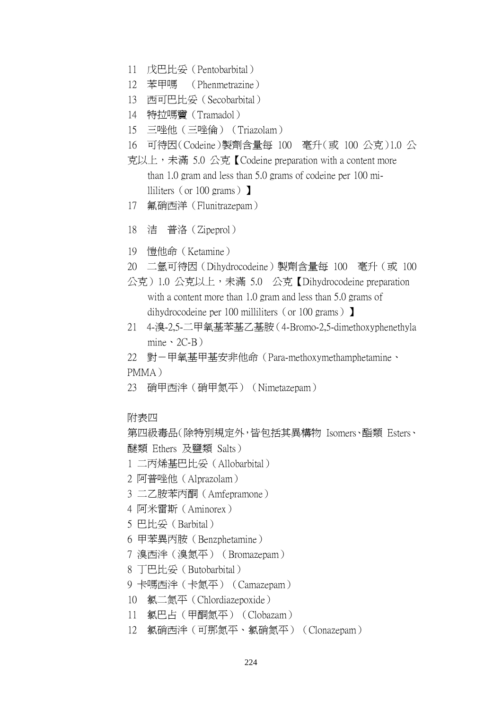- 11 戊巴比妥(Pentobarbital)
- 12 苯甲嗎 (Phenmetrazine)
- 13 西可巴比妥(Secobarbital)
- 14 特拉嗎竇(Tramadol)
- 15 三唑他(三唑倫)(Triazolam)
- 16 可待因(Codeine)製劑含量每 100 毫升(或 100 公克)1.0 公
- 克以上,未滿 5.0 公克【Codeine preparation with a content more than 1.0 gram and less than 5.0 grams of codeine per 100 mi lliliters (or 100 grams)  $\blacksquare$
- 17 氟硝西洋(Flunitrazepam)
- 18 洁 普洛(Zipeprol)
- 19 愷他命(Ketamine)
- 20 二氫可待因(Dihydrocodeine)製劑含量每 100 毫升(或 100

公克)1.0 公克以上,未滿 5.0 公克【Dihydrocodeine preparation with a content more than 1.0 gram and less than 5.0 grams of dihydrocodeine per 100 milliliters (or 100 grams)  $\blacksquare$ 

21 4-溴-2,5-二甲氧基苯基乙基胺(4-Bromo-2,5-dimethoxyphenethyla mine  $\cdot$  2C-B)

22 對一甲氧基甲基安非他命 (Para-methoxymethamphetamine、 PMMA)

- 23 硝甲西泮(硝甲氮平)(Nimetazepam)
- 附表四

第四級毒品(除特別規定外,皆包括其異構物 Isomers、酯類 Esters、 醚類 Ethers 及鹽類 Salts)

- 1 二丙烯基巴比妥(Allobarbital)
- 2 阿普唑他(Alprazolam)
- 3 二乙胺苯丙酮(Amfepramone)
- 4 阿米雷斯(Aminorex)
- 5 巴比妥(Barbital)
- 6 甲苯異丙胺(Benzphetamine)
- 7 溴西泮(溴氮平)(Bromazepam)
- 8 丁巴比妥(Butobarbital)
- 9 卡嗎西泮(卡氮平) (Camazepam)
- 10 氯二氮平(Chlordiazepoxide)
- 11 氯巴占(甲酮氮平)(Clobazam)
- 12 氯硝西泮(可那氮平、氯硝氮平)(Clonazepam)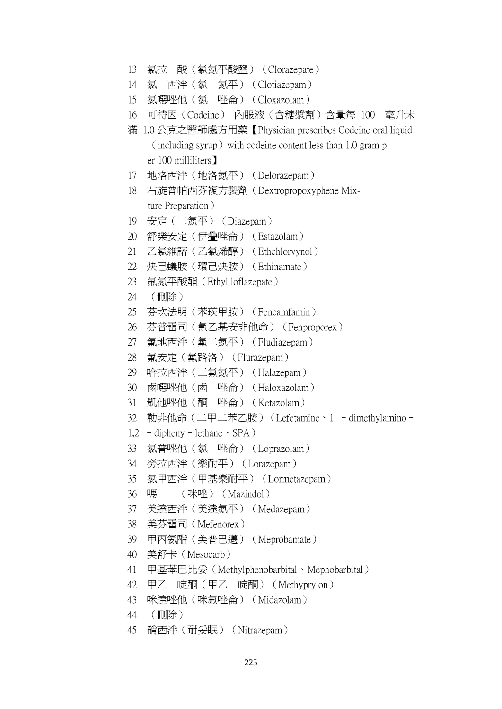```
13 氯拉 酸(氯氮平酸鹽)(Clorazepate)
```
- 14 氯 西泮(氯 氮平)(Clotiazepam)
- 15 氯噁唑他(氯 唑侖)(Cloxazolam)
- 16 可待因(Codeine) 內服液(含糖漿劑)含量每 100 毫升未
- 滿 1.0 公克之醫師處方用藥【Physician prescribes Codeine oral liquid  $(including$ , syrup) with codeine content less than 1.0 gram p er 100 milliliters】
- 17 地洛西泮(地洛氮平)(Delorazepam)
- 18 右旋普帕西芬複方製劑(Dextropropoxyphene Mix ture Preparation)
- 19 安定(二氮平)(Diazepam)
- 20 舒樂安定(伊疊唑侖)(Estazolam)
- 21 乙氯維諾(乙氯烯醇)(Ethchlorvynol)
- 22 炔己蟻胺(環己炔胺)(Ethinamate)
- 23 氟氮平酸酯(Ethyl loflazepate)
- 24 (刪除)
- 25 芬坎法明(苯莰甲胺)(Fencamfamin)
- 26 芬普雷司(氰乙基安非他命)(Fenproporex)
- 27 氟地西泮(氟二氮平)(Fludiazepam)
- 28 氟安定(氟路洛)(Flurazepam)
- 29 哈拉西泮(三氟氮平)(Halazepam)
- 30 鹵噁唑他(鹵 唑侖)(Haloxazolam)
- 31 凱他唑他(酮 唑侖)(Ketazolam)
- 32 勒非他命 (二甲二苯乙胺) (Lefetamine、1 dimethylamino-
- $1,2 -$ dipheny lethane  $\cdot$  SPA)
- 33 氯普唑他(氯 唑侖)(Loprazolam)
- 34 勞拉西泮(樂耐平)(Lorazepam)
- 35 氯甲西泮(甲基樂耐平)(Lormetazepam)
- 36 嗎 (咪唑) (Mazindol)
- 37 美達西泮(美達氮平)(Medazepam)
- 38 美芬雷司(Mefenorex)
- 39 甲丙氨酯(美普巴邁)(Meprobamate)
- 40 美舒卡(Mesocarb)
- 41 甲基苯巴比妥(Methylphenobarbital、Mephobarbital)
- 42 甲乙 啶酮(甲乙 啶酮)(Methyprylon)
- 43 咪達唑他(咪氟唑侖)(Midazolam)
- 44 (刪除)
- 45 硝西泮(耐妥眠)(Nitrazepam)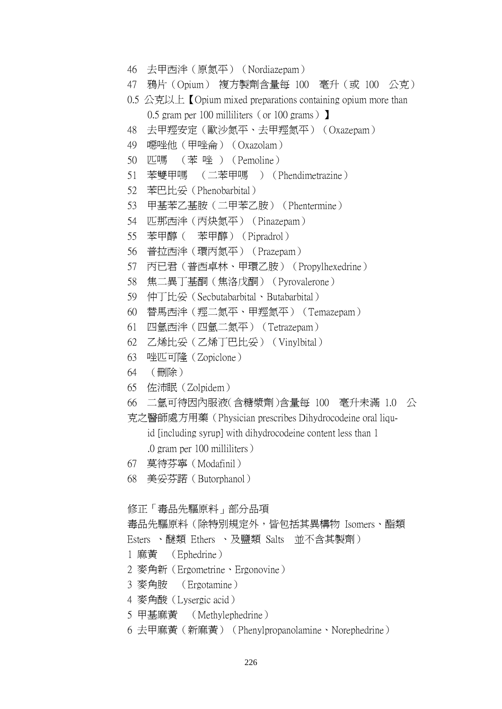- 46 去甲西泮(原氮平)(Nordiazepam)
- 47 鴉片(Opium) 複方製劑含量每 100 毫升(或 100 公克)
- 0.5 公克以上【Opium mixed preparations containing opium more than 0.5 gram per 100 milliliters (or 100 grams)  $\bf{I}$
- 48 去甲羥安定(歐沙氮平、去甲羥氮平)(Oxazepam)
- 49 噁唑他(甲唑侖)(Oxazolam)
- 50 匹嗎 (苯 唑 )(Pemoline)
- 51 苯雙甲嗎 (二苯甲嗎 )(Phendimetrazine)
- 52 苯巴比妥(Phenobarbital)
- 53 甲基苯乙基胺(二甲苯乙胺)(Phentermine)
- 54 匹那西泮(丙炔氮平)(Pinazepam)
- 55 苯甲醇( 苯甲醇)(Pipradrol)
- 56 普拉西泮(環丙氮平)(Prazepam)
- 57 丙已君(普西卓林、甲環乙胺)(Propylhexedrine)
- 58 焦二異丁基酮(焦洛戊酮)(Pyrovalerone)
- 59 仲丁比妥(Secbutabarbital、Butabarbital)
- 60 替馬西泮(羥二氮平、甲羥氮平)(Temazepam)
- 61 四氫西泮(四氫二氮平)(Tetrazepam)
- 62 乙烯比妥(乙烯丁巴比妥)(Vinylbital)
- 63 唑匹可隆(Zopiclone)
- 64 (刪除)
- 65 佐沛眠(Zolpidem)
- 66 二氫可待因內服液(含糖漿劑)含量每 100 毫升未滿 1.0 公
- 克之醫師處方用藥(Physician prescribes Dihydrocodeine oral liqu-

id [including syrup] with dihydrocodeine content less than 1

.0 gram per 100 milliliters)

- 67 莫待芬寧(Modafinil)
- 68 美妥芬諾(Butorphanol)

修正「毒品先驅原料」部分品項

```
毒品先驅原料(除特別規定外,皆包括其異構物 Isomers、酯類
```

```
Esters 、醚類 Ethers 、及鹽類 Salts 並不含其製劑)
```

```
1 麻黃 (Ephedrine)
```
- 2 麥角新(Ergometrine、Ergonovine)
- 3 麥角胺 (Ergotamine)
- 4 麥角酸(Lysergic acid)
- 5 甲基麻黃 (Methylephedrine)
- 6 去甲麻黃(新麻黃)(Phenylpropanolamine、Norephedrine)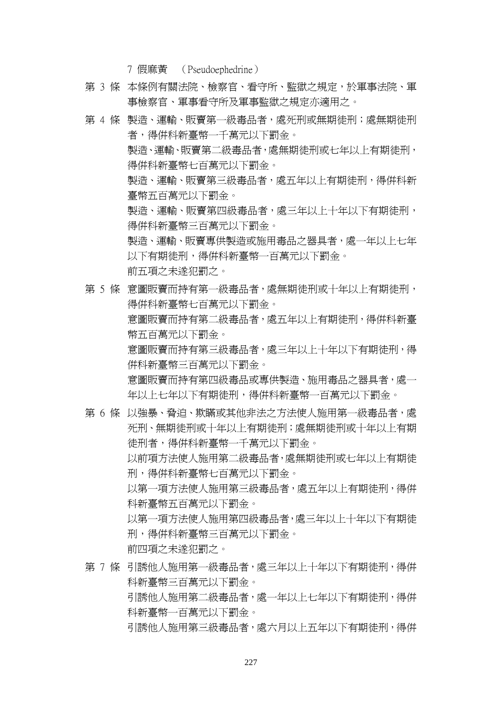7 假麻黃 (Pseudoephedrine)

- 第 3 條 本條例有關法院、檢察官、看守所、監獄之規定,於軍事法院、軍 事檢察官、軍事看守所及軍事監獄之規定亦適用之。
- 第 4 條 製浩、運輸、販賣第一級毒品者,處死刑或無期徒刑;處無期徒刑 者,得併科新臺幣一千萬元以下罰金。 製造、運輸、販賣第二級毒品者,處無期徒刑或七年以上有期徒刑, 得併科新臺幣七百萬元以下罰金。 製造、運輸、販賣第三級毒品者,處五年以上有期徒刑,得併科新 臺幣五百萬元以下罰金。 製浩、渾輸、販賣第四級毒品者,處三年以上十年以下有期徒刑, 得併科新臺幣三百萬元以下罰金。 製造、運輸、販賣專供製造或施用毒品之器具者,處一年以上七年 以下有期徒刑,得併科新臺幣一百萬元以下罰金。 前五項之未遂犯罰之。
- 第 5 條 意圖販賣而持有第一級毒品者,處無期徒刑或十年以上有期徒刑, 得併科新臺幣七百萬元以下罰金。 意圖販賣而持有第二級毒品者,處五年以上有期徒刑,得併科新臺 幣五百萬元以下罰金。 意圖販賣而持有第三級毒品者,處三年以上十年以下有期徒刑,得 併科新臺幣三百萬元以下罰金。 意圖販賣而持有第四級毒品或專供製造、施用毒品之器具者,處一 年以上七年以下有期徒刑,得併科新臺幣一百萬元以下罰金。
- 第 6 條 以強暴、脅泊、欺瞞或其他非法之方法使人施用第一級毒品者,處 死刑、無期徒刑或十年以上有期徒刑;處無期徒刑或十年以上有期 徒刑者,得併科新臺幣一千萬元以下罰金。 以前項方法使人施用第二級毒品者,處無期徒刑或七年以上有期徒 刑,得併科新臺幣七百萬元以下罰金。 以第一項方法使人施用第三級毒品者,處五年以上有期徒刑,得併 科新臺幣五百萬元以下罰金。 以第一項方法使人施用第四級毒品者,處三年以上十年以下有期徒 刑,得併科新臺幣三百萬元以下罰金。 前四項之未遂犯罰之。
- 第 7 條 引誘他人施用第一級毒品者,處三年以上十年以下有期徒刑,得併 科新臺幣三百萬元以下罰金。 引誘他人施用第二級毒品者,處一年以上七年以下有期徒刑,得併 科新臺幣一百萬元以下罰金。 引誘他人施用第三級毒品者,處六月以上五年以下有期徒刑,得併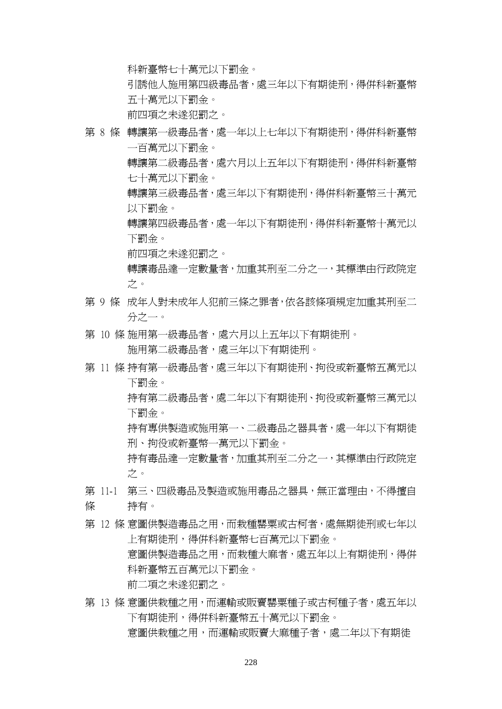科新臺幣七十萬元以下罰金。

引誘他人施用第四級毒品者,處三年以下有期徒刑,得併科新臺幣 五十萬元以下罰金。

前四項之未遂犯罰之。

- 第 8 條 轉讓第一級毒品者,處一年以上七年以下有期徒刑,得併科新臺幣 一百萬元以下罰金。 轉讓第二級毒品者,處六月以上五年以下有期徒刑,得併科新臺幣
	- 七十萬元以下罰金。
	- 轉讓第三級毒品者,處三年以下有期徒刑,得併科新臺幣三十萬元 以下罰金。
	- 轉讓第四級毒品者,處一年以下有期徒刑,得併科新臺幣十萬元以 下罰金。

前四項之未遂犯罰之。

轉讓毒品達一定數量者,加重其刑至二分之一,其標準由行政院定 之。

- 第 9 條 成年人對未成年人犯前三條之罪者,依各該條項規定加重其刑至二 分之一。
- 第 10 條 施用第一級毒品者,處六月以上五年以下有期徒刑。 施用第二級毒品者,處三年以下有期徒刑。
- 第 11 條 持有第一級毒品者,處三年以下有期徒刑、拘役或新臺幣五萬元以 下罰金。 持有第二級毒品者,處二年以下有期徒刑、拘役或新臺幣三萬元以
	- 下罰金。 持有專供製造或施用第一、二級毒品之器具者,處一年以下有期徒 刑、拘役或新臺幣一萬元以下罰金。
	- 持有毒品達一定數量者,加重其刑至二分之一,其標準由行政院定 之。
- 第 11-1 第三、四級毒品及製造或施用毒品之器具,無正當理由,不得擅自 條 持有。
- 第 12 條 意圖供製浩毒品之用,而栽種罌粟或古柯者,處無期徒刑或七年以 上有期徒刑,得併科新臺幣七百萬元以下罰金。 意圖供製造毒品之用,而栽種大麻者,處五年以上有期徒刑,得併 科新臺幣五百萬元以下罰金。 前二項之未遂犯罰之。
- 第 13 條 意圖供栽種之用,而運輸或販賣罌粟種子或古柯種子者,處五年以 下有期徒刑,得併科新臺幣五十萬元以下罰金。 意圖供栽種之用,而運輸或販賣大麻種子者,處二年以下有期徒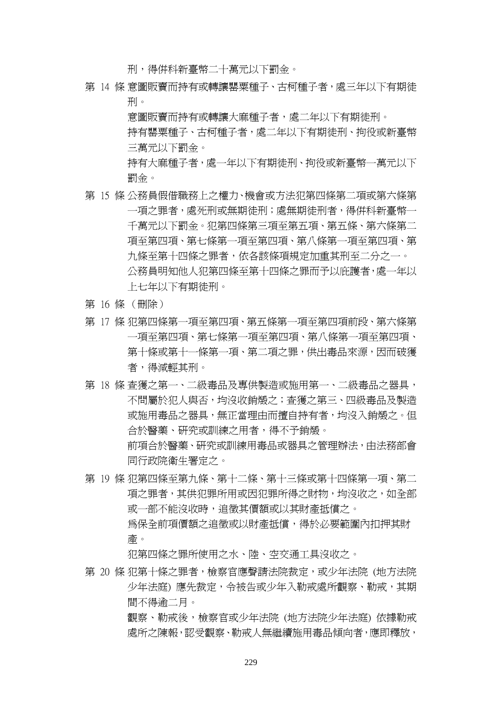刑,得併科新臺幣二十萬元以下罰金。

第 14 條 意圖販賣而持有或轉讓罌粟種子、古柯種子者,處三年以下有期徒 刑。

意圖販賣而持有或轉讓大麻種子者,處二年以下有期徒刑。

持有罌粟種子、古柯種子者,處二年以下有期徒刑、拘役或新臺幣 三萬元以下罰金。

持有大麻種子者,處一年以下有期徒刑、拘役或新臺幣一萬元以下 罰金。

- 第 15 條 公務員假借職務上之權力、機會或方法犯第四條第二項或第六條第 一項之罪者,處死刑或無期徒刑;處無期徒刑者,得併科新臺幣一 千萬元以下罰金。犯第四條第三項至第五項、第五條、第六條第二 項至第四項、第七條第一項至第四項、第八條第一項至第四項、第 九條至第十四條之罪者,依各該條項規定加重其刑至二分之一。 公務員明知他人犯第四條至第十四條之罪而予以庇護者,處一年以 上七年以下有期徒刑。
- 第 16 條 (刪除)
- 第 17 條 犯第四條第一項至第四項、第五條第一項至第四項前段、第六條第 一項至第四項、第七條第一項至第四項、第八條第一項至第四項、 第十條或第十一條第一項、第二項之罪,供出毒品來源,因而破獲 者,得減輕其刑。
- 第 18 條 杳獲之第一、二級毒品及專供製造或施用第一、二級毒品之器具, 不問屬於犯人與否,均沒收銷燬之;查獲之第三、四級毒品及製造 或施用毒品之器具,無正當理由而擅自持有者,均沒入銷燬之。但 合於醫藥、研究或訓練之用者,得不予銷燬。 前項合於醫藥、研究或訓練用毒品或器具之管理辦法,由法務部會 同行政院衛生署定之。
- 第 19 條 犯第四條至第九條、第十二條、第十三條或第十四條第一項、第二 項之罪者,其供犯罪所用或因犯罪所得之財物,均沒收之,如全部 或一部不能沒收時,追徵其價額或以其財產抵償之。 為保全前項價額之追徵或以財產抵償,得於必要範圍內扣押其財

產。

犯第四條之罪所使用之水、陸、空交通工具沒收之。

第 20 條 犯第十條之罪者,檢察官應聲請法院裁定,或少年法院 (地方法院 少年法庭) 應先裁定,令被告或少年入勒戒處所觀察、勒戒,其期 間不得逾二月。

> 觀察、勒戒後,檢察官或少年法院 (地方法院少年法庭) 依據勒戒 處所之陳報,認受觀察、勒戒人無繼續施用毒品傾向者,應即釋放,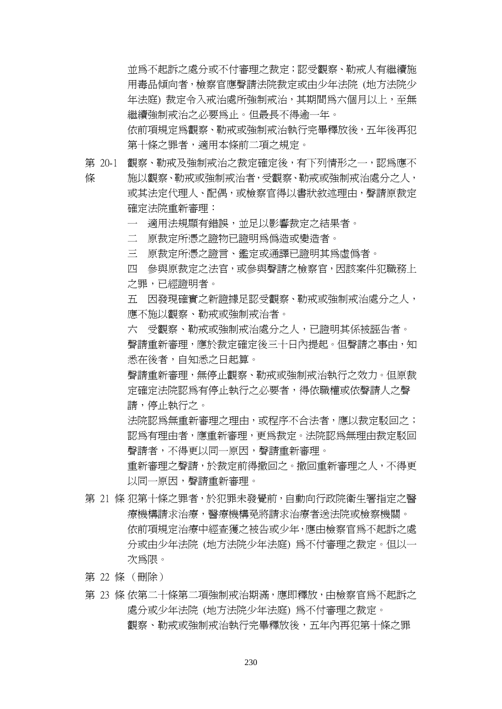並為不起訴之處分或不付審理之裁定;認受觀察、勒戒人有繼續施 用毒品傾向者,檢察官應聲請法院裁定或由少年法院 (地方法院少 年法庭) 裁定令入戒治處所強制戒治,其期間為六個月以上,至無 繼續強制戒治之必要為止。但最長不得逾一年。 依前項規定為觀察、勒戒或強制戒治執行完畢釋放後,五年後再犯 第十條之罪者,適用本條前二項之規定。

第 20-1 觀察、勒戒及強制戒治之裁定確定後,有下列情形之一,認爲應不

條

施以觀察、勒戒或強制戒治者,受觀察、勒戒或強制戒治處分之人, 或其法定代理人、配偶,或檢察官得以書狀敘述理由,聲請原裁定 確定法院重新審理:

一 適用法規顯有錯誤,並足以影響裁定之結果者。

二 原裁定所憑之證物已證明為偽造或變造者。

三 原裁定所憑之證言、鑑定或通譯已證明其為虛偽者。

四 參與原裁定之法官,或參與聲請之檢察官,因該案件犯職務上 之罪,已經證明者。

五 因發現確實之新證據足認受觀察、勒戒或強制戒治處分之人, 應不施以觀察、勒戒或強制戒治者。

六 受觀察、勒戒或強制戒治處分之人,已證明其係被誣告者。 聲請重新審理,應於裁定確定後三十日內提起。但聲請之事由,知 悉在後者,自知悉之日起算。

聲請重新審理,無停止觀察、勒戒或強制戒治執行之效力。但原裁 定確定法院認為有停止執行之必要者,得依職權或依聲請人之聲 請,停止執行之。

法院認為無重新審理之理由,或程序不合法者,應以裁定駁回之; 認爲有理由者,應重新審理,更爲裁定。法院認爲無理由裁定駁回 聲請者,不得更以同一原因,聲請重新審理。

重新審理之聲請,於裁定前得撤回之。撤回重新審理之人,不得更 以同一原因,聲請重新審理。

- 第 21 條 犯第十條之罪者,於犯罪未發覺前,自動向行政院衛生署指定之醫 療機構請求治療,醫療機構免將請求治療者送法院或檢察機關。 依前項規定治療中經查獲之被告或少年,應由檢察官為不起訴之處 分或由少年法院 (地方法院少年法庭) 為不付審理之裁定。但以一 次為限。
- 第 22 條 (刪除)
- 第 23 條 依第二十條第二項強制戒治期滿,應即釋放,由檢察官為不起訴之 處分或少年法院 (地方法院少年法庭) 為不付審理之裁定。 觀察、勒戒或強制戒治執行完畢釋放後,五年內再犯第十條之罪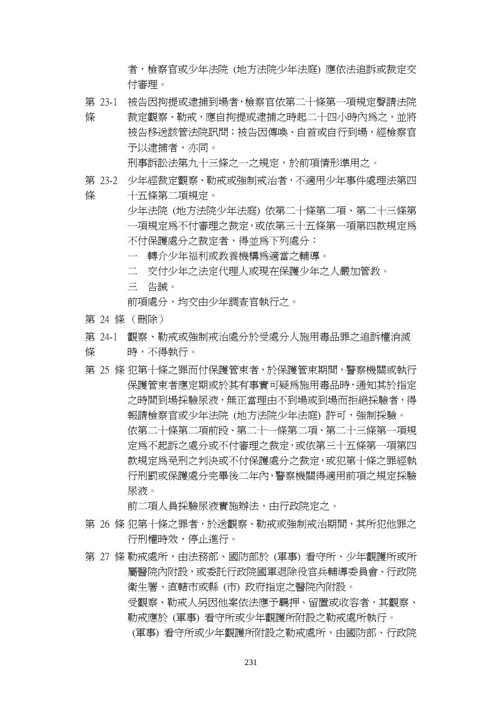者,檢察官或少年法院 (地方法院少年法庭) 應依法追訴或裁定交 付審理。

第 23-1 被告因拘提或逮捕到場者,檢察官依第二十條第一項規定聲請法院

條 裁定觀察、勒戒,應自拘提或逮捕之時起二十四小時內為之,並將 被告移送該管法院訊問;被告因傳喚、自首或自行到場,經檢察官 予以逮捕者,亦同。

刑事訴訟法第九十三條之一之規定,於前項情形準用之。

- 第 23-2 少年經裁定觀察、勒戒或強制戒治者,不適用少年事件處理法第四
- 條 十五條第二項規定。
	- 少年法院 (地方法院少年法庭) 依第二十條第二項、第二十三條第 一項規定為不付審理之裁定,或依第三十五條第一項第四款規定為 不付保護處分之裁定者,得並為下列處分:
		- 一 轉介少年福利或教養機構為適當之輔導。
		- 二 交付少年之法定代理人或現在保護少年之人嚴加管教。
		- 三 告誡。

前項處分,均交由少年調查官執行之。

- 第 24 條 (刪除)
- 第 24-1 觀察、勒戒或強制戒治處分於受處分人施用毒品罪之追訴權消滅
- 條 時,不得執行。
- 第 25 條 犯第十條之罪而付保護管束者,於保護管束期間,警察機關或執行 保護管束者應定期或於其有事實可疑為施用毒品時,通知其於指定 之時間到場採驗尿液,無正當理由不到場或到場而拒絕採驗者,得 報請檢察官或少年法院 (地方法院少年法庭) 許可,強制採驗。 依第二十條第二項前段、第二十一條第二項、第二十三條第一項規 定為不起訴之處分或不付審理之裁定,或依第三十五條第一項第四 款規定為免刑之判決或不付保護處分之裁定,或犯第十條之罪經執 行刑罰或保護處分完畢後二年內,警察機關得適用前項之規定採驗 尿液。

前二項人員採驗尿液實施辦法,由行政院定之。

- 第 26 條 犯第十條之罪者,於送觀察、勒戒或強制戒治期間,其所犯他罪之 行刑權時效,停止進行。
- 第 27 條 勒戒處所,由法務部、國防部於 (軍事) 看守所、少年觀護所或所 屬醫院內附設,或委託行政院國軍退除役官兵輔導委員會、行政院 衛生署、直轄市或縣 (市) 政府指定之醫院內附設。 受觀察、勒戒人另因他案依法應予羈押、留置或收容者,其觀察、 勒戒應於 (軍事) 看守所或少年觀護所附設之勒戒處所執行。 (軍事) 看守所或少年觀護所附設之勒戒處所,由國防部、行政院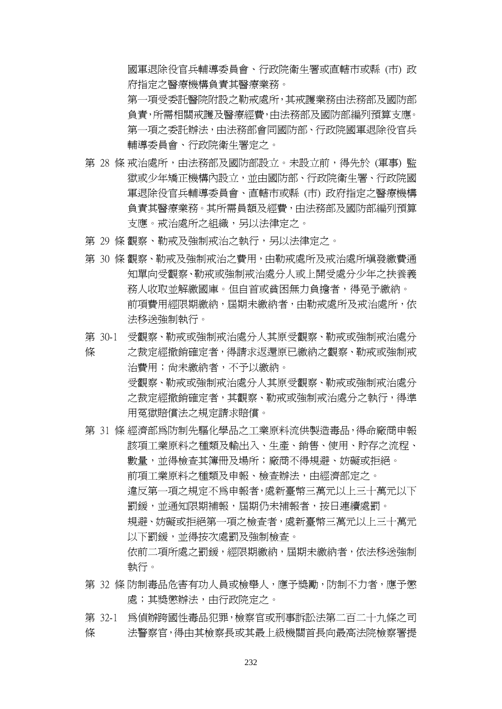國軍退除役官兵輔導委員會、行政院衛生署或直轄市或縣 (市) 政 府指定之醫療機構負責其醫療業務。

第一項受委託醫院附設之勒戒處所,其戒護業務由法務部及國防部 負責,所需相關戒護及醫療經費,由法務部及國防部編列預算支應。 第一項之委託辦法,由法務部會同國防部、行政院國軍退除役官兵 輔導委員會、行政院衛生署定之。

- 第 28 條 戒治處所,由法務部及國防部設立。未設立前,得先於 (軍事) 監 獄或少年矯正機構內設立,並由國防部、行政院衛生署、行政院國 軍退除役官兵輔導委員會、直轄市或縣 (市) 政府指定之醫療機構 負責其醫療業務。其所需員額及經費,由法務部及國防部編列預算 支應。戒治處所之組織,另以法律定之。
- 第 29 條 觀察、勒戒及強制戒治之執行,另以法律定之。
- 第 30 條 觀察、勒戒及強制戒治之費用,由勒戒處所及戒治處所填發繳費通 知單向受觀察、勒戒或強制戒治處分人或上開受處分少年之扶養義 務人收取並解繳國庫。但自首或貧困無力負擔者,得免予繳納。 前項費用經限期繳納,屆期未繳納者,由勒戒處所及戒治處所,依 法移送強制執行。
- 第 30-1 受觀察、勒戒或強制戒治處分人其原受觀察、勒戒或強制戒治處分
- 條 之裁定經撤銷確定者,得請求返還原已繳納之觀察、勒戒或強制戒 治費用;尚未繳納者,不予以繳納。 受觀察、勒戒或強制戒治處分人其原受觀察、勒戒或強制戒治處分 之裁定經撤銷確定者,其觀察、勒戒或強制戒治處分之執行,得準 用冤獄賠償法之規定請求賠償。
- 第 31 條 經濟部為防制先驅化學品之工業原料流供製造毒品,得命廠商申報 該項工業原料之種類及輸出入、生產、銷售、使用、貯存之流程、 數量,並得檢查其簿冊及場所;廠商不得規避、妨礙或拒絕。 前項工業原料之種類及申報、檢查辦法,由經濟部定之。 違反第一項之規定不為申報者,處新臺幣三萬元以上三十萬元以下 罰鍰,並通知限期補報,屆期仍未補報者,按日連續處罰。 規避、妨礙或拒絕第一項之檢查者,處新臺幣三萬元以上三十萬元 以下罰鍰,並得按次處罰及強制檢查。 依前二項所處之罰鍰,經限期繳納,屆期未繳納者,依法移送強制 執行。
- 第 32 條 防制毒品危害有功人員或檢舉人,應予獎勵,防制不力者,應予懲 處;其獎懲辦法,由行政院定之。
- 第 32-1 爲偵辦跨國性毒品犯罪,檢察官或刑事訴訟法第二百二十九條之司 條 法警察官,得由其檢察長或其最上級機關首長向最高法院檢察署提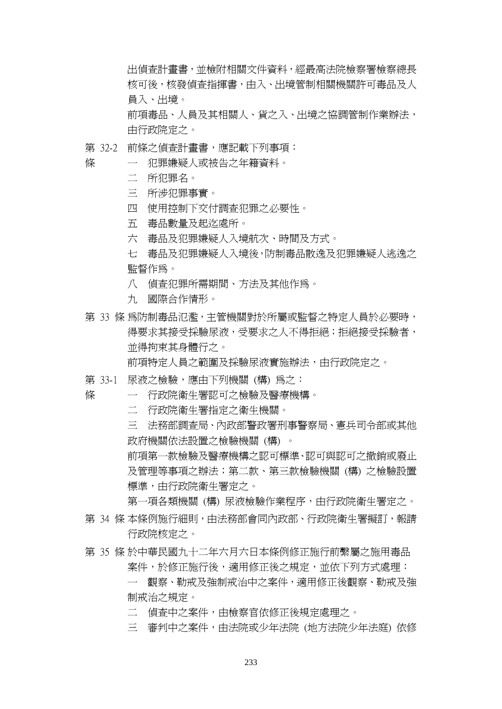出偵查計畫書,並檢附相關文件資料,經最高法院檢察署檢察總長 核可後,核發偵杳指揮書,由入、出境管制相關機關許可毒品及人 員入、出境。

前項毒品、人員及其相關人、貨之入、出境之協調管制作業辦法, 由行政院定之。

- 第 32-2 前條之偵查計畫書,應記載下列事項:
	- 一 犯罪嫌疑人或被告之年籍資料。
		- 二 所犯罪名。

條

條

- 三 所涉犯罪事實。
- 四 使用控制下交付調查犯罪之必要性。
- 五 毒品數量及起迄處所。
- 六 毒品及犯罪嫌疑人入境航次、時間及方式。
- 七 毒品及犯罪嫌疑人入境後,防制毒品散逸及犯罪嫌疑人逃逸之 監督作為。
- 八 偵查犯罪所需期間、方法及其他作為。
- 九 國際合作情形。
- 第 33 條 為防制毒品氾濫,主管機關對於所屬或監督之特定人員於必要時, 得要求其接受採驗尿液,受要求之人不得拒絕;拒絕接受採驗者, 並得拘束其身體行之。

前項特定人員之範圍及採驗尿液實施辦法,由行政院定之。

- 第 33-1 尿液之檢驗,應由下列機關 (構) 爲之:
	- 一 行政院衛生署認可之檢驗及醫療機構。
		- 二 行政院衛生署指定之衛生機關。
		- 三 法務部調查局、內政部警政署刑事警察局、憲兵司令部或其他 政府機關依法設置之檢驗機關 (構) 。

前項第一款檢驗及醫療機構之認可標準、認可與認可之撤銷或廢止 及管理等事項之辦法;第二款、第三款檢驗機關 (構) 之檢驗設置 標準,由行政院衛生署定之。

第一項各類機關 (構) 尿液檢驗作業程序,由行政院衛生署定之。

- 第 34 條 本條例施行細則,由法務部會同內政部、行政院衛生署擬訂,報請 行政院核定之。
- 第 35 條 於中華民國九十二年六月六日本條例修正施行前繫屬之施用毒品 案件,於修正施行後,適用修正後之規定,並依下列方式處理:

一 觀察、勒戒及強制戒治中之案件,適用修正後觀察、勒戒及強 制戒治之規定。

二 偵查中之案件,由檢察官依修正後規定處理之。

三 審判中之案件,由法院或少年法院 (地方法院少年法庭) 依修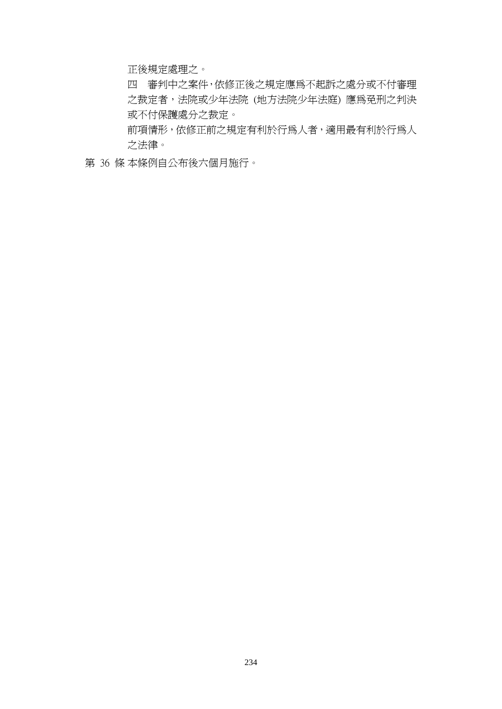正後規定處理之。

四 審判中之案件,依修正後之規定應為不起訴之處分或不付審理 之裁定者,法院或少年法院 (地方法院少年法庭) 應為免刑之判決 或不付保護處分之裁定。

前項情形,依修正前之規定有利於行為人者,適用最有利於行為人 之法律。

第 36 條 本條例自公布後六個月施行。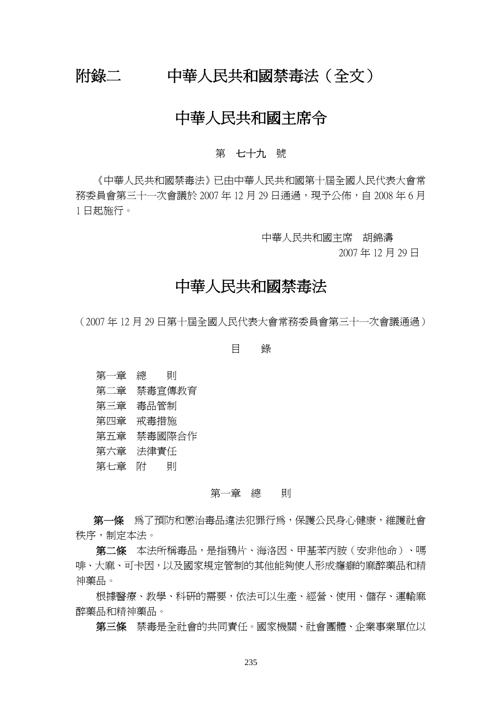# 附錄二 中華人民共和國禁毒法(全文)

# 中華人民共和國主席令

## 第 七十九 號

 《中華人民共和國禁毒法》已由中華人民共和國第十屆全國人民代表大會常 務委員會第三十一次會議於 2007年12月 29日通過,現予公佈,自 2008年6月 1 日起施行。

中華人民共和國主席 胡錦濤

2007 年 12 月 29 日

# 中華人民共和國禁毒法

(2007 年 12 月 29 日第十屆全國人民代表大會常務委員會第三十一次會議通過)

目 錄

- 第一章 總 則
- 第二章 禁毒宣傳教育
- 第三章 毒品管制
- 第四章 戒毒措施
- 第五章 禁毒國際合作
- 第六章 法律責任
- 第七章 附 則

#### 第一章 總 即

第一條 為了預防和懲治毒品違法犯罪行為,保護公民身心健康,維護社會 秩序,制定本法。

第二條 本法所稱毒品,是指鴉片、海洛因、甲基苯丙胺(安非他命)、嗎 啡、大麻、可卡因,以及國家規定管制的其他能夠使人形成癮癖的麻醉藥品和精 神藥品。

根據醫療、教學、科研的需要,依法可以生產、經營、使用、儲存、運輸麻 醉藥品和精神藥品。

第三條 禁毒是全社會的共同責任。國家機關、社會團體、企業事業單位以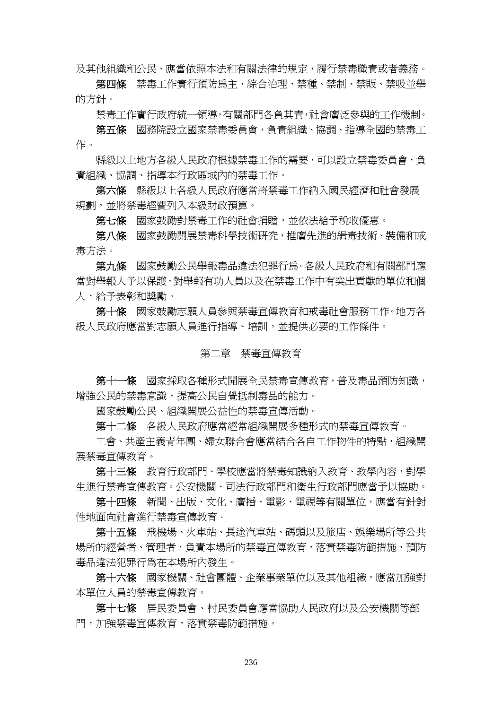及其他組織和公民,應當依照本法和有關法律的規定,履行禁毒職責或者義務。

 第四條 禁毒工作實行預防為主,綜合治理,禁種、禁制、禁販、禁吸並舉 的方針。

禁毒工作實行政府統一領導,有關部門各負其責,社會廣泛參與的工作機制。

第五條 國務院設立國家禁毒委員會,負責組織、協調、指導全國的禁毒工 作。

 縣級以上地方各級人民政府根據禁毒工作的需要,可以設立禁毒委員會,負 責組織、協調、指導本行政區域內的禁毒工作。

第六條 縣級以上各級人民政府應當將禁毒工作納入國民經濟和社會發展 規劃,並將禁毒經費列入本級財政預算。

第七條 國家鼓勵對禁毒工作的社會捐贈,並依法給予稅收優惠。

 第八條 國家鼓勵開展禁毒科學技術研究,推廣先進的緝毒技術、裝備和戒 毒方法。

 第九條 國家鼓勵公民舉報毒品違法犯罪行為。各級人民政府和有關部門應 當對舉報人予以保護,對舉報有功人員以及在禁毒工作中有突出貢獻的單位和個 人,給予表彰和獎勵。

第十條 國家鼓勵志願人員參與禁毒宣傳教育和戒毒社會服務工作。地方各 級人民政府應當對志願人員進行指導、培訓,並提供必要的工作條件。

#### 第二章 禁毒宣傳教育

 第十一條 國家採取各種形式開展全民禁毒宣傳教育,普及毒品預防知識, 增強公民的禁毒意識,提高公民自覺抵制毒品的能力。

國家鼓勵公民、組織開展公益性的禁毒宣傳活動。

第十二條 各級人民政府應當經常組織開展多種形式的禁毒宣傳教育。

工會、共產主義青年團、婦女聯合會應當結合各自工作物件的特點,組織開 展禁毒宣傳教育。

 第十三條 教育行政部門、學校應當將禁毒知識納入教育、教學內容,對學 生進行禁毒宣傳教育。公安機關、司法行政部門和衛生行政部門應當予以協助。

第十四條 新聞、出版、文化、廣播、電影、電視等有關單位,應當有針對 性地面向社會進行禁毒宣傳教育。

 第十五條 飛機場、火車站、長途汽車站、碼頭以及旅店、娛樂場所等公共 場所的經營者、管理者,負責本場所的禁毒宣傳教育,落實禁毒防範措施,預防 毒品違法犯罪行為在本場所內發生。

 第十六條 國家機關、社會團體、企業事業單位以及其他組織,應當加強對 本單位人員的禁毒宣傳教育。

 第十七條 居民委員會、村民委員會應當協助人民政府以及公安機關等部 門,加強禁毒宣傳教育,落實禁毒防範措施。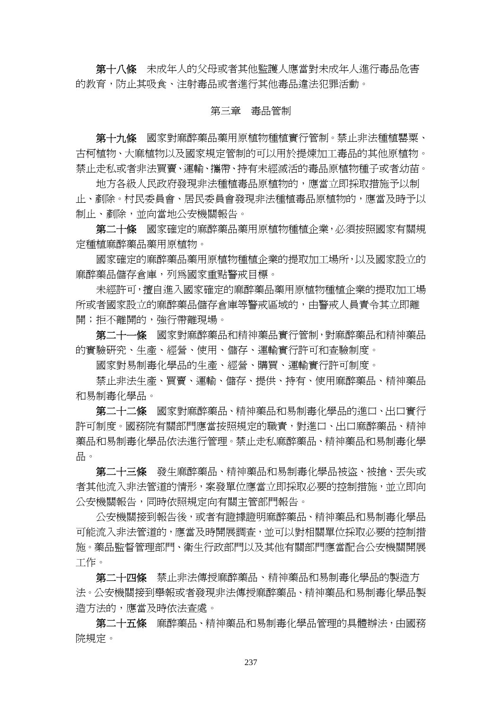第十八條 未成年人的父母或者其他監護人應當對未成年人進行毒品危害 的教育,防止其吸食、注射毒品或者進行其他毒品違法犯罪活動。

### 第三章 毒品管制

第十九條 國家對麻醉藥品藥用原植物種植實行管制。禁止非法種植罌粟、 古柯植物、大麻植物以及國家規定管制的可以用於提煉加工毒品的其他原植物。 禁止走私或者非法買賣、運輸、攜帶、持有未經滅活的毒品原植物種子或者幼苗。

 地方各級人民政府發現非法種植毒品原植物的,應當立即採取措施予以制 止、剷除。村民委員會、居民委員會發現非法種植毒品原植物的,應當及時予以 制止、剷除,並向當地公安機關報告。

 第二十條 國家確定的麻醉藥品藥用原植物種植企業,必須按照國家有關規 定種植麻醉藥品藥用原植物。

 國家確定的麻醉藥品藥用原植物種植企業的提取加工場所,以及國家設立的 麻醉藥品儲存倉庫,列為國家重點警戒目標。

未經許可,擅自進入國家確定的麻醉藥品藥用原植物種植企業的提取加工場 所或者國家設立的麻醉藥品儲存倉庫等警戒區域的,由警戒人員責令其立即離 開;拒不離開的,強行帶離現場。

 第二十一條 國家對麻醉藥品和精神藥品實行管制,對麻醉藥品和精神藥品 的實驗研究、生產、經營、使用、儲存、運輸實行許可和查驗制度。

國家對易制毒化學品的生產、經營、購買、運輸實行許可制度。

 禁止非法生產、買賣、運輸、儲存、提供、持有、使用麻醉藥品、精神藥品 和易制毒化學品。

 第二十二條 國家對麻醉藥品、精神藥品和易制毒化學品的進口、出口實行 許可制度。國務院有關部門應當按照規定的職責,對進口、出口麻醉藥品、精神 藥品和易制毒化學品依法進行管理。禁止走私麻醉藥品、精神藥品和易制毒化學 品。

 第二十三條 發生麻醉藥品、精神藥品和易制毒化學品被盜、被搶、丟失或 者其他流入非法管道的情形,案發單位應當立即採取必要的控制措施,並立即向 公安機關報告,同時依照規定向有關主管部門報告。

 公安機關接到報告後,或者有證據證明麻醉藥品、精神藥品和易制毒化學品 可能流入非法管道的,應當及時開展調查,並可以對相關單位採取必要的控制措 施。藥品監督管理部門、衛生行政部門以及其他有關部門應當配合公安機關開展 工作。

 第二十四條 禁止非法傳授麻醉藥品、精神藥品和易制毒化學品的製造方 法。公安機關接到舉報或者發現非法傳授麻醉藥品、精神藥品和易制毒化學品製 造方法的,應當及時依法查處。

第二十五條 麻醉藥品、精神藥品和易制毒化學品管理的具體辦法,由國務 院規定。

237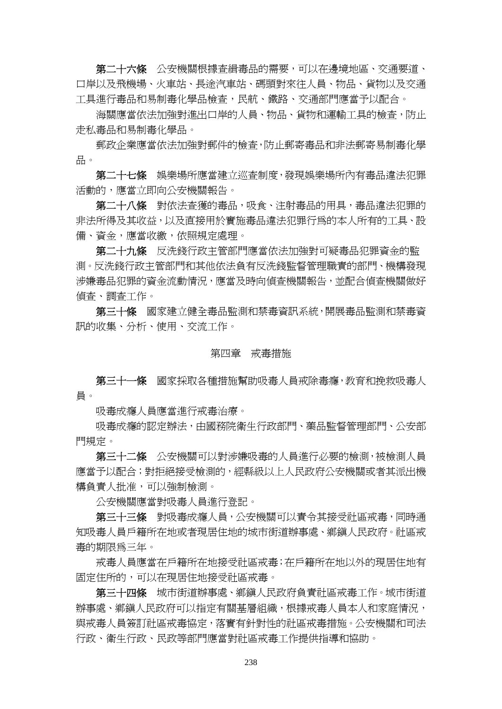第二十六條 公安機關根據杳緝毒品的需要,可以在邊境地區、交通要道、 口岸以及飛機場、火車站、長途汽車站、碼頭對來往人員、物品、貨物以及交通 工具進行毒品和易制毒化學品檢查,民航、鐵路、交通部門應當予以配合。

海關應當依法加強對進出口岸的人員、物品、貨物和運輸工具的檢查,防止 走私毒品和易制毒化學品。

 郵政企業應當依法加強對郵件的檢查,防止郵寄毒品和非法郵寄易制毒化學 品。

第二十七條 娛樂場所應當建立巡査制度,發現娛樂場所內有毒品違法犯罪 活動的,應當立即向公安機關報告。

第二十八條 對依法杳獲的毒品,吸食、注射毒品的用具,毒品違法犯罪的 非法所得及其收益,以及直接用於實施毒品違法犯罪行為的本人所有的工具、設 備、資金,應當收繳,依照規定處理。

 第二十九條 反洗錢行政主管部門應當依法加強對可疑毒品犯罪資金的監 測。反洗錢行政主管部門和其他依法負有反洗錢監督管理職責的部門、機構發現 涉嫌毒品犯罪的資金流動情況,應當及時向偵查機關報告,並配合偵查機關做好 偵查、調查工作。

 第三十條 國家建立健全毒品監測和禁毒資訊系統,開展毒品監測和禁毒資 訊的收集、分析、使用、交流工作。

#### 第四章 戒毒措施

第三十一條 國家採取各種措施幫助吸毒人員戒除毒癮,教育和挽救吸毒人 員。

吸毒成癮人員應當進行戒毒治療。

吸毒成癮的認定辦法,由國務院衛生行政部門、藥品監督管理部門、公安部 門規定。

 第三十二條 公安機關可以對涉嫌吸毒的人員進行必要的檢測,被檢測人員 應當予以配合;對拒絕接受檢測的,經縣級以上人民政府公安機關或者其派出機 構負責人批准,可以強制檢測。

公安機關應當對吸毒人員進行登記。

 第三十三條 對吸毒成癮人員,公安機關可以責令其接受社區戒毒,同時通 知吸毒人員戶籍所在地或者現居住地的城市街道辦事處、鄉鎮人民政府。社區戒 毒的期限為三年。

 戒毒人員應當在戶籍所在地接受社區戒毒;在戶籍所在地以外的現居住地有 固定住所的,可以在現居住地接受社區戒毒。

 第三十四條 城市街道辦事處、鄉鎮人民政府負責社區戒毒工作。城市街道 辦事處、鄉鎮人民政府可以指定有關基層組織,根據戒毒人員本人和家庭情況, 與戒毒人員簽訂社區戒毒協定,落實有針對性的社區戒毒措施。公安機關和司法 行政、衛生行政、民政等部門應當對社區戒毒工作提供指導和協助。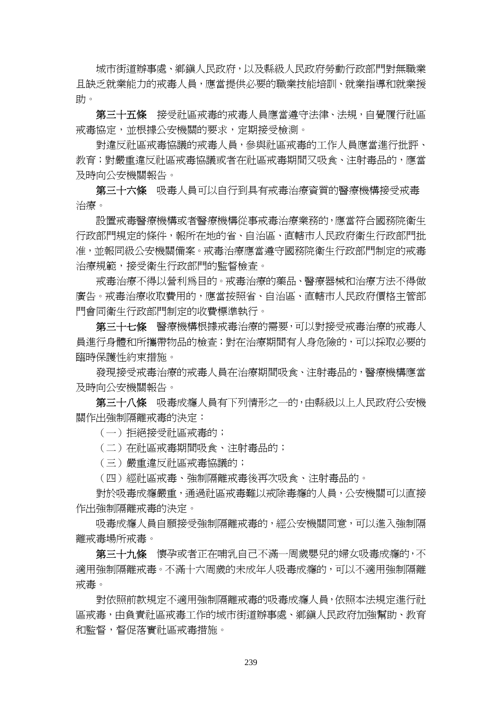城市街道辦事處、鄉鎮人民政府,以及縣級人民政府勞動行政部門對無職業 且缺乏就業能力的戒毒人員,應當提供必要的職業技能培訓、就業指導和就業援 助。

 第三十五條 接受社區戒毒的戒毒人員應當遵守法律、法規,自覺履行社區 戒毒協定,並根據公安機關的要求,定期接受檢測。

 對違反社區戒毒協議的戒毒人員,參與社區戒毒的工作人員應當進行批評、 教育;對嚴重違反社區戒毒或者在社區戒毒期間又吸食、注射毒品的,應當 及時向公安機關報告。

 第三十六條 吸毒人員可以自行到具有戒毒治療資質的醫療機構接受戒毒 治療。

 設置戒毒醫療機構或者醫療機構從事戒毒治療業務的,應當符合國務院衛生 行政部門規定的條件,報所在地的省、自治區、直轄市人民政府衛生行政部門批 准,並報同級公安機關備案。戒毒治療應當遵守國務院衛生行政部門制定的戒毒 治療規範,接受衛生行政部門的監督檢查。

 戒毒治療不得以營利為目的。戒毒治療的藥品、醫療器械和治療方法不得做 廣告。戒毒治療收取費用的,應當按照省、自治區、直轄市人民政府價格主管部 門會同衛生行政部門制定的收費標準執行。

第三十七條 醫療機構根據戒毒治療的需要,可以對接受戒毒治療的戒毒人 員進行身體和所攜帶物品的檢查;對在治療期間有人身危險的,可以採取必要的 臨時保護性約束措施。

發現接受戒毒治療的戒毒人員在治療期間吸食、注射毒品的,醫療機構應當 及時向公安機關報告。

 第三十八條 吸毒成癮人員有下列情形之一的,由縣級以上人民政府公安機 關作出強制隔離戒毒的決定:

(一)拒絕接受社區戒毒的;

(二)在社區戒毒期間吸食、注射毒品的;

(三)嚴重違反社區戒毒協議的;

(四)經社區戒毒、強制隔離戒毒後再次吸食、注射毒品的。

 對於吸毒成癮嚴重,通過社區戒毒難以戒除毒癮的人員,公安機關可以直接 作出強制隔離戒毒的決定。

 吸毒成癮人員自願接受強制隔離戒毒的,經公安機關同意,可以進入強制隔 離戒毒場所戒毒。

第三十九條 懷孕或者正在哺乳自己不滿一周歲嬰兒的婦女吸毒成癮的,不 適用強制隔離戒毒。不滿十六周歲的未成年人吸毒成癮的,可以不適用強制隔離 戒毒。

 對依照前款規定不適用強制隔離戒毒的吸毒成癮人員,依照本法規定進行社 區戒毒,由負責社區戒毒工作的城市街道辦事處、鄉鎮人民政府加強幫助、教育 和監督,督促落實社區戒毒措施。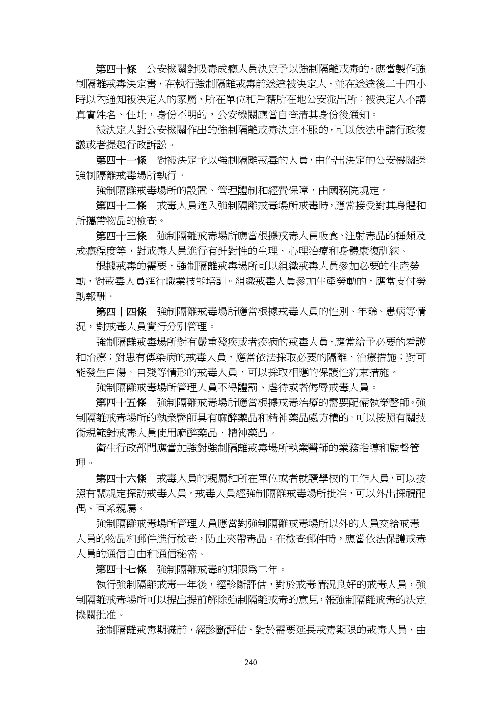第四十條 公安機關對吸毒成癮人員決定予以強制隔離戒毒的,應當製作強 制隔離戒毒決定書,在執行強制隔離戒毒前送達被決定人,並在送達後二十四小 時以內通知被決定人的家屬、所在單位和戶籍所在地公安派出所;被決定人不講 真實姓名、住址,身份不明的,公安機關應當自查清其身份後通知。

 被決定人對公安機關作出的強制隔離戒毒決定不服的,可以依法申請行政復 議或者提起行政訴訟。

第四十一條 對被決定予以強制隔離戒毒的人員,由作出決定的公安機關送 強制隔離戒毒場所執行。

強制隔離戒毒場所的設置、管理體制和經費保障,由國務院規定。

 第四十二條 戒毒人員進入強制隔離戒毒場所戒毒時,應當接受對其身體和 所攜帶物品的檢查。

第四十三條 強制隔離戒毒場所應當根據戒毒人員吸食、注射毒品的種類及 成癮程度等,對戒毒人員進行有針對性的生理、心理治療和身體康復訓練。

 根據戒毒的需要,強制隔離戒毒場所可以組織戒毒人員參加必要的生產勞 動,對戒毒人員進行職業技能培訓。組織戒毒人員參加生產勞動的,應當支付勞 動報酬。

第四十四條 強制隔離戒毒場所應當根據戒毒人員的性別、年齡、患病等情 況,對戒毒人員實行分別管理。

 強制隔離戒毒場所對有嚴重殘疾或者疾病的戒毒人員,應當給予必要的看護 和治療;對患有傳染病的戒毒人員,應當依法採取必要的隔離、治療措施;對可 能發生自傷、自殘等情形的戒毒人員,可以採取相應的保護性約束措施。

強制隔離戒毒場所管理人員不得體罰、虐待或者侮辱戒毒人員。

第四十五條 強制隔離戒毒場所應當根據戒毒治療的需要配備執業醫師。強 制隔離戒毒場所的執業醫師具有麻醉藥品和精神藥品處方權的,可以按照有關技 術規範對戒毒人員使用麻醉藥品、精神藥品。

 衛生行政部門應當加強對強制隔離戒毒場所執業醫師的業務指導和監督管 理。

第四十六條 戒毒人員的親屬和所在單位或者就讀學校的工作人員,可以按 照有關規定探訪戒毒人員。戒毒人員經強制隔離戒毒場所批准,可以外出探視配 偶、直系親屬。

 強制隔離戒毒場所管理人員應當對強制隔離戒毒場所以外的人員交給戒毒 人員的物品和郵件進行檢查,防止夾帶毒品。在檢查郵件時,應當依法保護戒毒 人員的通信自由和通信秘密。

第四十七條 強制隔離戒毒的期限為二年。

執行強制隔離戒毒一年後,經診斷評估,對於戒毒情況良好的戒毒人員,強 制隔離戒毒場所可以提出提前解除強制隔離戒毒的意見,報強制隔離戒毒的決定 機關批准。

強制隔離戒毒期滿前,經診斷評估,對於需要延長戒毒期限的戒毒人員,由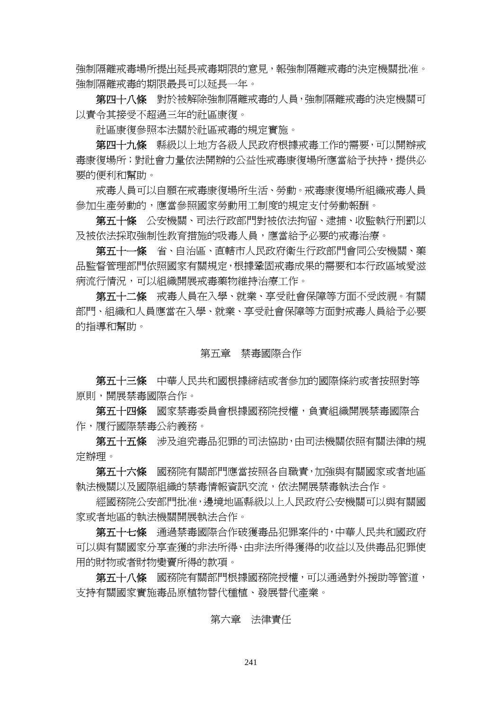強制隔離戒毒場所提出延長戒毒期限的意見,報強制隔離戒毒的決定機關批准。 強制隔離戒毒的期限最長可以延長一年。

 第四十八條 對於被解除強制隔離戒毒的人員,強制隔離戒毒的決定機關可 以責令其接受不超過三年的社區康復。

社區康復參照本法關於社區戒毒的規定實施。

第四十九條 縣級以上地方各級人民政府根據戒毒工作的需要,可以開辦戒 毒康復場所;對社會力量依法開辦的公益性戒毒康復場所應當給予扶持,提供必 要的便利和幫助。

 戒毒人員可以自願在戒毒康復場所生活、勞動。戒毒康復場所組織戒毒人員 參加生產勞動的,應當參照國家勞動用工制度的規定支付勞動報酬。

 第五十條 公安機關、司法行政部門對被依法拘留、逮捕、收監執行刑罰以 及被依法採取強制性教育措施的吸毒人員,應當給予必要的戒毒治療。

 第五十一條 省、自治區、直轄市人民政府衛生行政部門會同公安機關、藥 品監督管理部門依照國家有關規定,根據鞏固戒毒成果的需要和本行政區域愛滋 病流行情況,可以組織開展戒毒藥物維持治療工作。

 第五十二條 戒毒人員在入學、就業、享受社會保障等方面不受歧視。有關 部門、組織和人員應當在入學、就業、享受社會保障等方面對戒毒人員給予必要 的指導和幫助。

#### 第五章 禁毒國際合作

 第五十三條 中華人民共和國根據締結或者參加的國際條約或者按照對等 原則,開展禁毒國際合作。

第五十四條 國家禁毒委員會根據國務院授權,負責組織開展禁毒國際合 作,履行國際禁毒公約義務。

 第五十五條 涉及追究毒品犯罪的司法協助,由司法機關依照有關法律的規 定辦理。

 第五十六條 國務院有關部門應當按照各自職責,加強與有關國家或者地區 執法機關以及國際組織的禁毒情報資訊交流,依法開展禁毒執法合作。

 經國務院公安部門批准,邊境地區縣級以上人民政府公安機關可以與有關國 家或者地區的執法機關開展執法合作。

 第五十七條 通過禁毒國際合作破獲毒品犯罪案件的,中華人民共和國政府 可以與有關國家分享查獲的非法所得、由非法所得獲得的收益以及供毒品犯罪使 用的財物或者財物變賣所得的款項。

第五十八條 國務院有關部門根據國務院授權,可以通過對外援助等管道, 支持有關國家實施毒品原植物替代種植、發展替代產業。

## 第六章 法律責任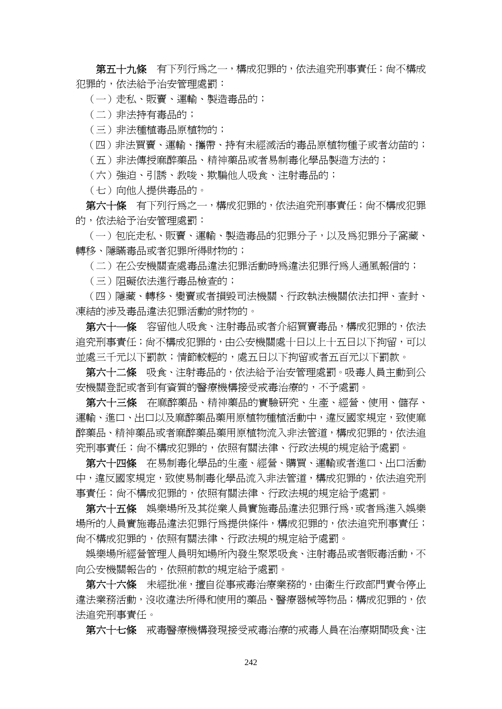第五十九條 有下列行為之一,構成犯罪的,依法追究刑事責任;尚不構成 犯罪的,依法給予治安管理處罰:

(一)走私、販賣、運輸、製造毒品的;

(二)非法持有毒品的;

(三)非法種植毒品原植物的;

(四)非法買賣、運輸、攜帶、持有未經滅活的毒品原植物種子或者幼苗的;

(五)非法傳授麻醉藥品、精神藥品或者易制毒化學品製造方法的;

(六)強迫、引誘、教唆、欺騙他人吸食、注射毒品的;

(七)向他人提供毒品的。

第六十條 有下列行為之一,構成犯罪的,依法追究刑事責任;尚不構成犯罪 的,依法給予治安管理處罰:

 (一)包庇走私、販賣、運輸、製造毒品的犯罪分子,以及為犯罪分子窩藏、 轉移、隱瞞毒品或者犯罪所得財物的;

(二)在公安機關查處毒品違法犯罪活動時為違法犯罪行為人通風報信的;

(三)阻礙依法進行毒品檢查的;

 (四)隱藏、轉移、變賣或者損毀司法機關、行政執法機關依法扣押、查封、 凍結的涉及毒品違法犯罪活動的財物的。

第六十一條 容留他人吸食、注射毒品或者介紹買賣毒品,構成犯罪的,依法 追究刑事責任;尚不構成犯罪的,由公安機關處十日以上十五日以下拘留,可以 並處三千元以下罰款;情節較輕的,處五日以下拘留或者五百元以下罰款。

 第六十二條 吸食、注射毒品的,依法給予治安管理處罰。吸毒人員主動到公 安機關登記或者到有資質的醫療機構接受戒毒治療的,不予處罰。

 第六十三條 在麻醉藥品、精神藥品的實驗研究、生產、經營、使用、儲存、 運輸、進口、出口以及麻醉藥品藥用原植物種植活動中,違反國家規定,致使麻 醉藥品、精神藥品或者麻醉藥品藥用原植物流入非法管道,構成犯罪的,依法追 究刑事責任;尚不構成犯罪的,依照有關法律、行政法規的規定給予處罰。

 第六十四條 在易制毒化學品的生產、經營、購買、運輸或者進口、出口活動 中,違反國家規定,致使易制毒化學品流入非法管道,構成犯罪的,依法追究刑 事責任;尚不構成犯罪的,依照有關法律、行政法規的規定給予處罰。

 第六十五條 娛樂場所及其從業人員實施毒品違法犯罪行為,或者為進入娛樂 場所的人員實施毒品違法犯罪行為提供條件,構成犯罪的,依法追究刑事責任; 尚不構成犯罪的,依照有關法律、行政法規的規定給予處罰。

 娛樂場所經營管理人員明知場所內發生聚眾吸食、注射毒品或者販毒活動,不 向公安機關報告的,依照前款的規定給予處罰。

 第六十六條 未經批准,擅自從事戒毒治療業務的,由衛生行政部門責令停止 違法業務活動,沒收違法所得和使用的藥品、醫療器械等物品;構成犯罪的,依 法追究刑事責任。

第六十七條 戒毒醫療機構發現接受戒毒治療的戒毒人員在治療期間吸食、注